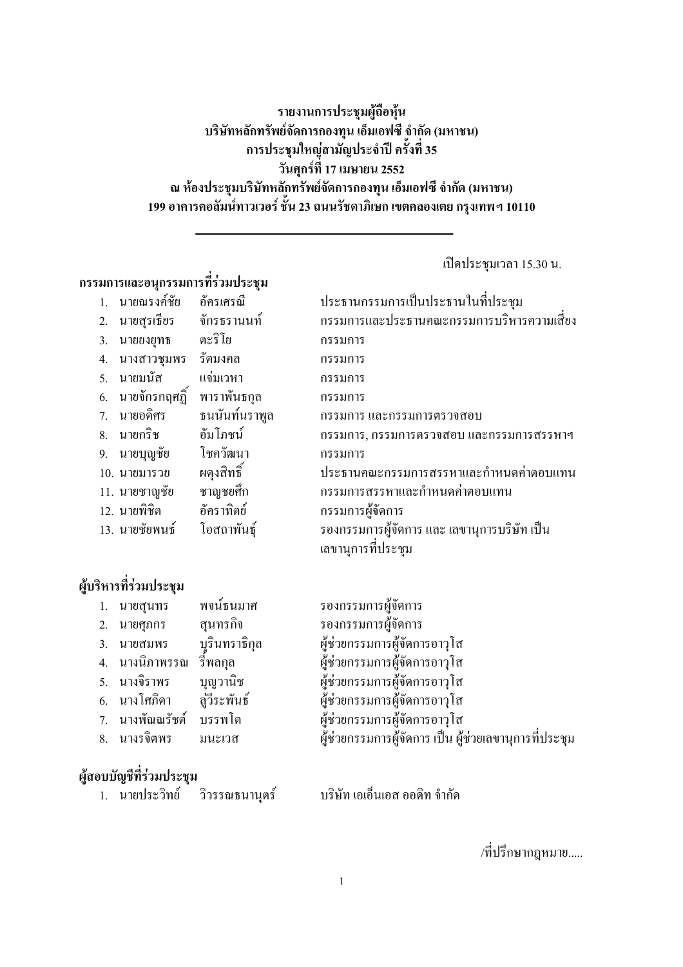## รายงานการประชุมผู้ถือหุ้น บริษัทหลักทรัพย์จัดการกองทุน เอ็มเอฟซี จำกัด (มหาชน) ิการประชุมใหญ่สามัญประจำปี ครั้งที่ 35 วันศุกร์ที่ 17 เมษายน 2552 ณ ห้องประชุมบริษัทหลักทรัพย์จัดการกองทุน เอ็มเอฟซี จำกัด (มหาชน) 199 อาคารคอลัมน์ทาวเวอร์ ชั้น 23 ถนนรัชดาภิเษก เขตคลองเตย กรุงเทพฯ 10110

เปิดประชุมเวลา 15.30 น.

# กรรมการและอนุกรรมการที่ร่วมประชุม

|                | นายณรงค์ชัย    | อัครเศรณี     | ประธานกรรมการเป็นประธานในที่ประชุม           |
|----------------|----------------|---------------|----------------------------------------------|
| 2.             | นายสุรเธียร    | จักรธรานนท์   | กรรมการและประธานคณะกรรมการบริหารความเสียง    |
| 3.             | นายยงยุทธ      | ตะริโย        | กรรมการ                                      |
| 4.             | นางสาวชมพร     | รัตมงคล       | กรรมการ                                      |
| 5 <sub>1</sub> | <b>นายมนัส</b> | แจ่มเวหา      | กรรมการ                                      |
| 6.             | นายจักรกฤศฏิ์  | พาราพันธกุล   | กรรมการ                                      |
| 7 <sub>1</sub> | นายอดิศร       | ธนนันท์นราพูล | ึกรรมการ และกรรมการตรวจสอบ                   |
| 8.             | นายกริช        | อัมโกชน์      | กรรมการ, กรรมการตรวจสอบ และกรรมการสรรหาฯ     |
| 9.             | นายบุญชัย      | โชควัฒนา      | กรรมการ                                      |
|                | 10. นายมารวย   | ผดุงสิทธิ์    | ประธานคณะกรรมการสรรหาและกำหนดค่าตอบแทน       |
|                | 11. นายชาญชัย  | ชาญชยศึก      | กรรมการสรรหาและกำหนดค่าตอบแทน                |
|                | 12. นายพิชิต   | อัคราทิตย์    | กรรมการผู้จัดการ                             |
|                | 13. นายชัยพนธ์ | โอสถาพันธุ์   | รองกรรมการผู้จัดการ และ เลขานุการบริษัท เป็น |
|                |                |               | เลขานการที่ประชม                             |

# ผู้บริหารที่ร่วมประชุม

| 1. นายสุนทร        พจน์ธนมาศ      |          | รองกรรมการผู้จัดการ                                    |
|-----------------------------------|----------|--------------------------------------------------------|
| 2. นายศุภกร                       | สนทรกิจ  | รองกรรมการผู้จัดการ                                    |
| 3. นายสมพร   บุรินทราธิกุล        |          | ผู้ช่วยกรรมการผู้จัดการอาวุโส                          |
| 4. นางนิภาพรรณ รีพลกุล            |          | ผู้ช่วยกรรมการผู้จัดการอาวุโส                          |
| 5. นางจิราพร                      | บุญวานิช | ผู้ช่วยกรรมการผู้จัดการอาวุโส                          |
| 6. นางโศกิดา         สู่วีระพันธ์ |          | ผู้ช่วยกรรมการผู้จัดการอาวุโส                          |
| 7. นางพัณณรัชต์ บรรพโต            |          | ผู้ช่วยกรรมการผู้จัดการอาวุโส                          |
| 8. นางรจิตพร มนะเวส               |          | ผู้ช่วยกรรมการผู้จัดการ เป็น ผู้ช่วยเลขานุการที่ประชุม |
|                                   |          |                                                        |

## ผู้สอบบัญชีที่ร่วมประชุม

|  | ่ นายประวิทย์ กิ่วรรคเรา กั |  |  | บริษัท เอเอ็นเอส ออดิท จำกัด |  |  |  |
|--|-----------------------------|--|--|------------------------------|--|--|--|
|--|-----------------------------|--|--|------------------------------|--|--|--|

/ที่ปรึกษากฎหมาย.....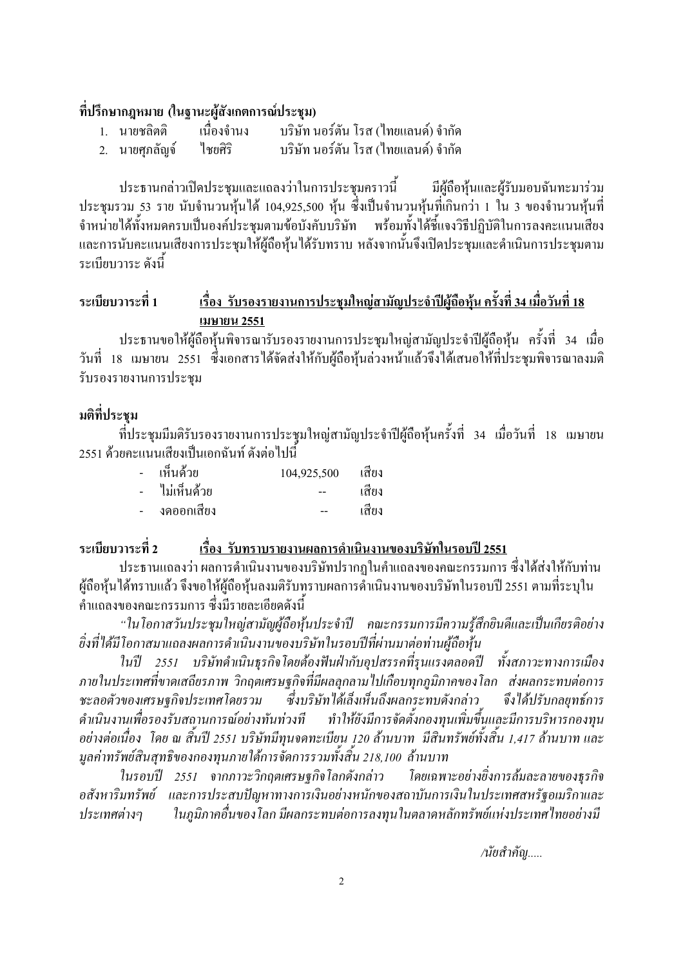### ที่ปรึกษากฎหมาย (ในฐานะผู้สังเกตการณ์ประชม)

- เนื่องจำนง บริษัท นอร์ตัน โรส (ไทยแลนด์) จำกัด 1. นายชลิตติ
- ใชยศิริ ำเรินัท นอร์ตัน โรส (ไทยแลนด์) จำกัด 2. นายศุกลัญจ์

ประธานกล่าวเปิดประชุมและแถลงว่าในการประชุมคราวนี้ มีผู้ถือห้นและผู้รับมอบฉันทะมาร่วม ประชุมรวม 53 ราย นับจำนวนหุ้นได้ 104,925,500 หุ้น ซึ่งเป็นจำนวนหุ้นที่เกินกว่า 1 ใน 3 ของจำนวนหุ้นที่ จำหน่ายใด้ทั้งหมดครบเป็นองค์ประชุมตามข้อบังคับบริษัท พร้อมทั้งใด้ชี้แจงวิธีปฏิบัติในการลงคะแนนเสียง และการนับคะแนนเสียงการประชุมให้ผู้ถือหุ้นได้รับทราบ หลังจากนั้นจึงเปิดประชุมและดำเนินการประชุมตาม ระเบียบวาระ ดังนี้

#### ระเบียบวาระที่ 1 ้เรื่อง รับรองรายงานการประชุมใหญ่สามัญประจำปีผู้ถือหุ้น ครั้งที่ 34 เมื่อวันที่ 18 เมษายน 2551

ประธานขอให้ผู้ถือหุ้นพิจารณารับรองรายงานการประชุมใหญ่สามัญประจำปีผู้ถือหุ้น ครั้งที่ 34 เมื่อ วันที่ 18 เมษายน 2551 ซึ่งเอกสารได้จัดส่งให้กับผู้ถือห้นล่วงหน้าแล้วจึงได้เสนอให้ที่ประชมพิจารณาลงมติ รับรองรายงานการประชม

## มติที่ประชม

ที่ประชมมีมติรับรองรายงานการประชมใหญ่สามัญประจำปีผู้ถือหุ้นครั้งที่ 34 เมื่อวันที่ 18 เมษายน 2551 ด้วยคะแนนเสียงเป็นเอกฉันท์ ดังต่อไปนี้

| เห็นด้วย    | 104,925,500 | เสียง |
|-------------|-------------|-------|
| ไม่เห็นด้วย | --          | เสียง |
| งดออกเสียง  |             | เสียง |

#### ระเบียบวาระที่ 2 ้เรื่อง รับทราบรายงานผลการดำเนินงานของบริษัทในรอบปี 2551

ประธานแถลงว่า ผลการคำเนินงานของบริษัทปรากฏในคำแถลงของคณะกรรมการ ซึ่งได้ส่งให้กับท่าน ผ้ถือห้นได้ทราบแล้ว จึงขอให้ผ้ถือห้นลงมติรับทราบผลการดำเนินงานของบริษัทในรอบปี 2551 ตามที่ระบใน ้คำแถลงของคณะกรรมการ ซึ่งมีรายละเอียดดังนี้

"ในโอกาสวันประชุมใหญ่สามัญผู้ถือหุ้นประจำปี คณะกรรมการมีความรู้สึกยินดีและเป็นเกียรติอย่าง อิ่งที่ได้มีโอกาสมาแถลงผลการคำเนินงานของบริษัทในรอบปีที่ผ่านมาต่อท่านผู้ถือหุ้น

ในปี 2551 บริษัทคำเนินธุรกิจโดยต้องฟันฝ่ากับอุปสรรคที่รุนแรงตลอดปี ทั้งสภาวะทางการเมือง ิ ภายในประเทศที่ขาดเสถียรภาพ วิกฤตเศรษฐกิจที่มีผลลุกลามไปเกือบทุกภูมิภาคของโลก ส่งผลกระทบต่อการ ชะลอตัวของเศรษจกิจประเทศโดยรวม ซึ่งบริษัทได้เล็งเห็นถึงผลกระทบดังกล่าว จึงได้ปรับกลยทธ์การ ดำเนินงานเพื่อรองรับสถานการณ์อย่างทันท่วงที ทำให้ยังมีการจัดตั้งกองทุนเพิ่มขึ้นและมีการบริหารกองทุน อย่างต่อเนื่อง โดย ณ สิ้นปี 2551 บริษัทมีทนจดทะเบียน 120 ล้านบาท มีสินทรัพย์ทั้งสิ้น 1,417 ล้านบาท และ มูลค่าทรัพย์สินสุทธิของกองทุนภายใต้การจัดการรวมทั้งสิ้น 218,100 ล้านบาท

ในรอบปี 2551 จากภาวะวิกฤตเศรษจกิจโลกดังกล่าว โดยเฉพาะอย่างยิ่งการล้มละลายของธรกิจ อสังหาริมทรัพย์ และการประสบปัญหาทางการเงินอย่างหนักของสถาบันการเงินในประเทศสหรัฐอเมริกาและ ในภมิภาคอื่นของโลก มีผลกระทบต่อการลงทนในตลาดหลักทรัพย์แห่งประเทศไทยอย่างมี ประเทศต่างๆ

/นัยสำคัญ.....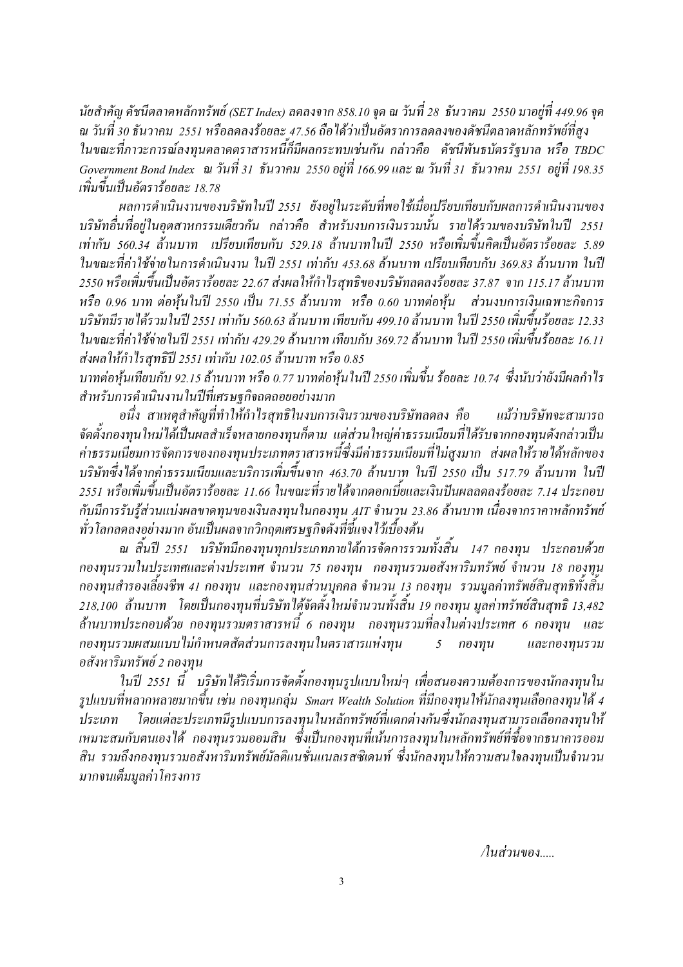นัยสำคัญ ดัชนีตลาดหลักทรัพย์ (SET Index) ลดลงจาก 858.10 จด ณ วันที่ 28 ธันวาคม 2550 มาอย่ที่ 449.96 จด ณ วันที่ 30 ธันวาคม 2551 หรือลคลงร้อยละ 47.56 ถือ ได้ว่าเป็นอัตราการลคลงของคัชนีตลาคหลักทรัพย์ที่สูง ในขณะที่ภาวะการณ์ลงทุนตลาดตราสารหนี้ก็มีผลกระทบเช่นกัน กล่าวคือ ดัชนีพันธบัตรรัฐบาล หรือ TBDC Government Bond Index ณ วันที่ 31 ธันวาคม 2550 อยู่ที่ 166.99 และ ณ วันที่ 31 ธันวาคม 2551 อยู่ที่ 198.35 เพิ่มขึ้นเป็นอัตราร้อยละ 18.78

ผลการคำเนินงานของบริษัทในปี 2551 ยังอยู่ในระดับที่พอใช้เมื่อเปรียบเทียบกับผลการคำเนินงานของ บริษัทอื่นที่อยู่ในอุตสาหกรรมเคียวกัน กล่าวคือ สำหรับงบการเงินรวมนั้น รายใค้รวมของบริษัทในปี 2551 เท่ากับ 560.34 ล้านบาท เปรียบเทียบกับ 529.18 ล้านบาทในปี 2550 หรือเพิ่มขึ้นคิดเป็นอัตราร้อยละ 5.89 ในขณะที่ค่าใช้จ่ายในการดำเนินงาน ในปี 2551 เท่ากับ 453.68 ล้านบาท เปรียบเทียบกับ 369.83 ล้านบาท ในปี 2550 หรือเพิ่มขึ้นเป็นอัตราร้อยละ 22.67 ส่งผลให้กำไรสุทธิของบริษัทลคลงร้อยละ 37.87 จาก 115.17 ล้านบาท หรือ 0.96 บาท ต่อหุ้นในปี 2550 เป็น 71.55 ล้านบาท หรือ 0.60 บาทต่อหุ้น ส่วนงบการเงินเฉพาะกิจการ บริษัทมีรายได้รวมในปี 2551 เท่ากับ 560.63 ล้านบาท เทียบกับ 499.10 ล้านบาท ในปี 2550 เพิ่มขึ้นร้อยละ 12.33 ในขณะที่ค่าใช้จ่ายในปี 2551 เท่ากับ 429.29 ล้านบาท เทียบกับ 369.72 ล้านบาท ในปี 2550 เพิ่มขึ้นร้อยละ 16.11 ส่งผลให้กำไรสทธิปี 2551 เท่ากับ 102.05 ล้านบาท หรือ 0.85

บาทต่อหุ้นเทียบกับ 92.15 ล้านบาท หรือ 0.77 บาทต่อหุ้นในปี 2550 เพิ่มขึ้น ร้อยละ 10.74 ซึ่งนับว่ายังมีผลกำไร ้สำหรับการดำเนินงานในปีที่เศรษฐกิจถดถอยอย่างมาก

อนึ่ง สาเหตุสำคัญที่ทำให้กำไรสุทธิในงบการเงินรวมของบริษัทลคลง คือ แม้ว่าบริษัทจะสามารถ จัดตั้งกองทุนใหม่ได้เป็นผลสำเร็จหลายกองทุนก็ตาม แต่ส่วนใหญ่ค่าธรรมเนียมที่ได้รับจากกองทุนดังกล่าวเป็น ค่าธรรมเนียมการจัดการของกองทุนประเภทตราสารหนี้ซึ่งมีค่าธรรมเนียมที่ไม่สูงมาก ส่งผลให้รายได้หลักของ บริษัทซึ่งได้จากค่าธรรมเนียมและบริการเพิ่มขึ้นจาก 463.70 ล้านบาท ในปี 2550 เป็น 517.79 ล้านบาท ในปี 2551 หรือเพิ่มขึ้นเป็นอัตราร้อยละ 11.66 ในขณะที่รายได้จากดอกเบี้ยและเงินปันผลลดลงร้อยละ 7.14 ประกอบ กับมีการรับร้ส่วนแบ่งผลขาดทนของเงินลงทนในกองทน AIT จำนวน 23.86 ล้านบาท เนื่องจากราคาหลักทรัพย์ ทั่วโลกลดลงอย่างมาก อันเป็นผลจากวิกฤตเศรษฐกิจดังที่ชี้แจงไว้เบื้องต้น

ิณ สิ้นปี 2551 บริษัทมีกองทนทกประเภทภายใต้การจัดการรวมทั้งสิ้น 147 กองทน ประกอบด้วย กองทุนรวมในประเทศและต่างประเทศ จำนวน 75 กองทุน กองทุนรวมอสังหาริมทรัพย์ จำนวน 18 กองทุน ึกองทุนสำรองเลี้ยงชีพ 41 กองทุน และกองทุนส่วนบุคคล จำนวน 13 กองทุน รวมมูลค่าทรัพย์สินสุทธิทั้งสิ้น 218,100 ล้านบาท โดยเป็นกองทุนที่บริษัทได้จัดตั้งใหม่จำนวนทั้งสิ้น 19 กองทุน มูลค่าทรัพย์สินสุทธิ์ 13,482 ้ล้านบาทประกอบด้วย กองทนรวมตราสารหนี้ 6 กองทุน กองทุนรวมที่ลงในต่างประเทศ 6 กองทุน และ ึกองทุนรวมผสมแบบไม่กำหนดสัดส่วนการลงทุนในตราสารแห่งทุน และกองทุนรวม  $5<sup>5</sup>$ กองทุน อสังหาริมทรัพย์ 2 กองทน

ในปี 2551 นี้ บริษัทได้ริเริ่มการจัดตั้งกองทุนรูปแบบใหม่ๆ เพื่อสนองความต้องการของนักลงทุนใน รูปแบบที่หลากหลายมากขึ้น เช่น กองทุนกลุ่ม Smart Wealth Solution ที่มีกองทุนให้นักลงทุนเลือกลงทุนได้ 4 โดยแต่ละประเภทมีรูปแบบการลงทุนในหลักทรัพย์ที่แตกต่างกันซึ่งนักลงทุนสามารถเลือกลงทุนให้ ประเภท เหมาะสมกับตนเองใด้ กองทนรวมออมสิน ซึ่งเป็นกองทนที่เน้นการลงทนในหลักทรัพย์ที่ซื้อจากธนาคารออม สิน รวมถึงกองทุนรวมอสังหาริมทรัพย์มัลติแนชั่นแนลเรสซิเดนท์ ซึ่งนักลงทุนให้ความสนใจลงทุนเป็นจำนวน มากจนเต็มมลค่าโครงการ

/ในส่วนของ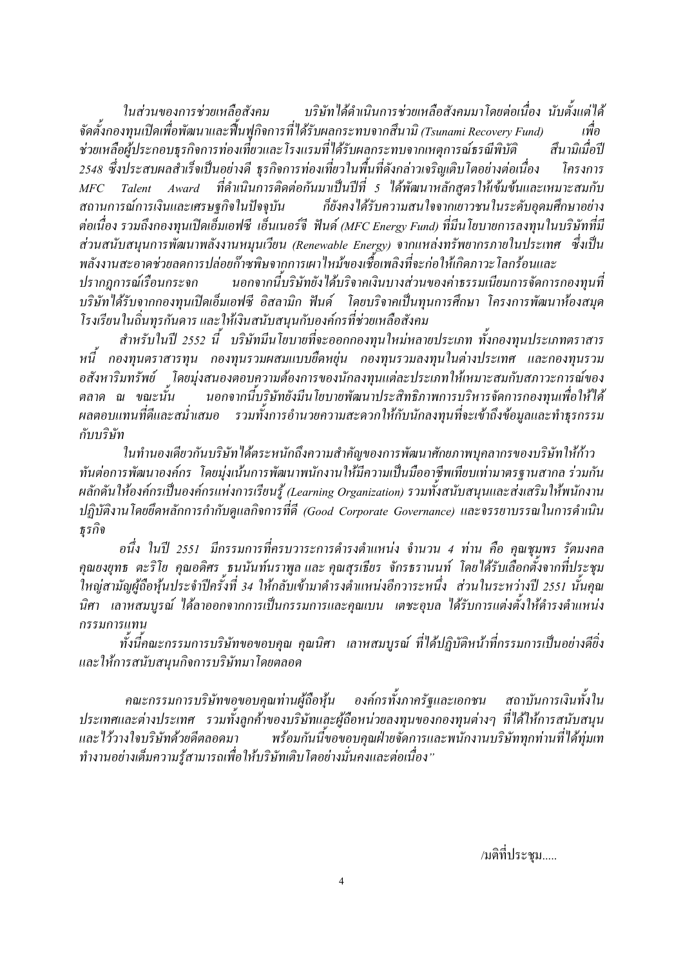บริษัทได้ดำเนินการช่วยเหลือสังคมมาโดยต่อเนื่อง นับตั้งแต่ได้ ในส่วนของการช่วยเหลือสังคม จัดตั้งกองทุนเปิดเพื่อพัฒนาและฟื้นฟูกิจการที่ได้รับผลกระทบจากสึนามิ (Tsunami Recovery Fund) เพื่อ ช่วยเหลือผู้ประกอบธุรกิจการท่องเที่ยวและโรงแรมที่ได้รับผลกระทบจากเหตุการณ์ธรณีพิบัติ สึบาบิเบื่อปี 2548 ซึ่งประสบผลสำเร็จเป็นอย่างดี ธุรกิจการท่องเที่ยวในพื้นที่ดังกล่าวเจริญเติบโตอย่างต่อเนื่อง โครงการ Talent Award ที่คำเนินการติดต่อกันมาเป็นปีที่ 5 ได้พัฒนาหลักสตรให้เข้มข้นและเหมาะสมกับ  $MFC$ ก็ยังคงได้รับความสนใจจากเยาวชนในระดับอุดมศึกษาอย่าง สถานการณ์การเงินและเศรษฐกิจในปัจจุบัน ต่อเนื่อง รวมถึงกองทนเปิดเอ็มเอฟซี เอ็นเนอร์จี ฟันด์ (MFC Energy Fund) ที่มีนโยบายการลงทนในบริษัทที่มี ส่วนสนับสนุนการพัฒนาพลังงานหมุนเวียน (Renewable Energy) จากแหล่งทรัพยากรภายในประเทศ ซึ่งเป็น พลังงานสะอาคช่วยลดการปล่อยก๊าซพิษจากการเผาไหม้ของเชื้อเพลิงที่จะก่อให้เกิดภาวะ โลกร้อนและ นอกจากนี้บริษัทยังได้บริจาคเงินบางส่วนของค่าธรรมเนียมการจัดการกองทุนที่ ปรากฎการณ์เรือนกระจก

บริษัทใค้รับจากกองทุนเปิดเอ็มเอฟซี อิสลามิก ฟันด์ โดยบริจาคเป็นทุนการศึกษา โครงการพัฒนาห้องสมุด โรงเรียนในถิ่นทรกันดาร และให้เงินสนับสนนกับองค์กรที่ช่วยเหลือสังคม

สำหรับในปี 2552 นี้ บริษัทมีนโยบายที่จะออกกองทนใหม่หลายประเภท ทั้งกองทนประเภทตราสาร หนี้ กองทนตราสารทน กองทนรวมผสมแบบยืดหย่น กองทนรวมลงทนในต่างประเทศ และกองทนรวม อสังหาริมทรัพย์ โดยมุ่งสนองตอบความต้องการของนักลงทุนแต่ละประเภทให้เหมาะสมกับสภาวะการณ์ของ ินอกจากนี้บริษัทยังมีนโยบายพัฒนาประสิทธิภาพการบริหารจัดการกองทนเพื่อให้ได้ ตลาด ณ ขณะนั้น ผลตอบแทนที่ดีและสม่ำเสมอ รวมทั้งการอำนวยความสะดวกให้กับนักลงทนที่จะเข้าถึงข้อมลและทำธรกรรม กับบริษัท

ในทำนองเคียวกันบริษัทได้ตระหนักถึงความสำคัญของการพัฒนาศักยภาพบุคลากรของบริษัทให้ก้าว ทันต่อการพัฒนาองค์กร โดยมุ่งเน้นการพัฒนาพนักงานให้มีความเป็นมืออาชีพเทียบเท่ามาตรฐานสากล ร่วมกัน ผลักดันให้องค์กรเป็นองค์กรแห่งการเรียนรู้ (Learning Organization) รวมทั้งสนับสนุนและส่งเสริมให้พนักงาน ปฏิบัติงานโดยยึดหลักการกำกับดูแลกิจการที่ดี (Good Corporate Governance) และจรรยาบรรณในการดำเนิน ธรกิจ

ือนึ่ง ในปี 2551 มีกรรมการที่ครบวาระการคำรงตำแหน่ง จำนวน 4 ท่าน คือ คณชมพร รัตมงคล คุณยงยุทธ ตะริโย คุณอดิศร ธนนันท์นราพูล และ คุณสุรเธียร จักรธรานนท์ โดยใค้รับเลือกตั้งจากที่ประชุม ใหญ่สามัญผู้ถือห้นประจำปีครั้งที่ 34 ให้กลับเข้ามาดำรงตำแหน่งอีกวาระหนึ่ง ส่วนในระหว่างปี 2551 นั้นคณ ้นิศา เลาหสมบูรณ์ ใด้ลาออกจากการเป็นกรรมการและคุณเบน เตชะอุบล ใด้รับการแต่งตั้งให้ดำรงตำแหน่ง กรรมการแทน

ทั้งนี้คณะกรรมการบริษัทขอขอบคุณ คุณนิศา เลาหสมบูรณ์ ที่ได้ปฏิบัติหน้าที่กรรมการเป็นอย่างคียิ่ง และให้การสนับสนุนกิจการบริษัทมาโ*ดยตล*อด

ึ คณะกรรมการบริษัทขอขอบคุณท่านผู้ถือหุ้น องค์กรทั้งภาครัฐและเอกชน สถาบันการเงินทั้งใน ประเทศและต่างประเทศ รวมทั้งลูกค้าของบริษัทและผู้ถือหน่วยลงทุนของกองทุนต่างๆ ที่ได้ให้การสนับสนุน พร้อมกันนี้ขอขอบคณฝ่ายจัดการและพนักงานบริษัททกท่านที่ได้ท่มเท และไว้วางใจบริษัทด้วยดีตลอดมา ทำงานอย่างเต็มความรู้สามารถเพื่อให้บริษัทเติบโตอย่างมั่นคงและต่อเนื่อง"

/มติที่ประชม.....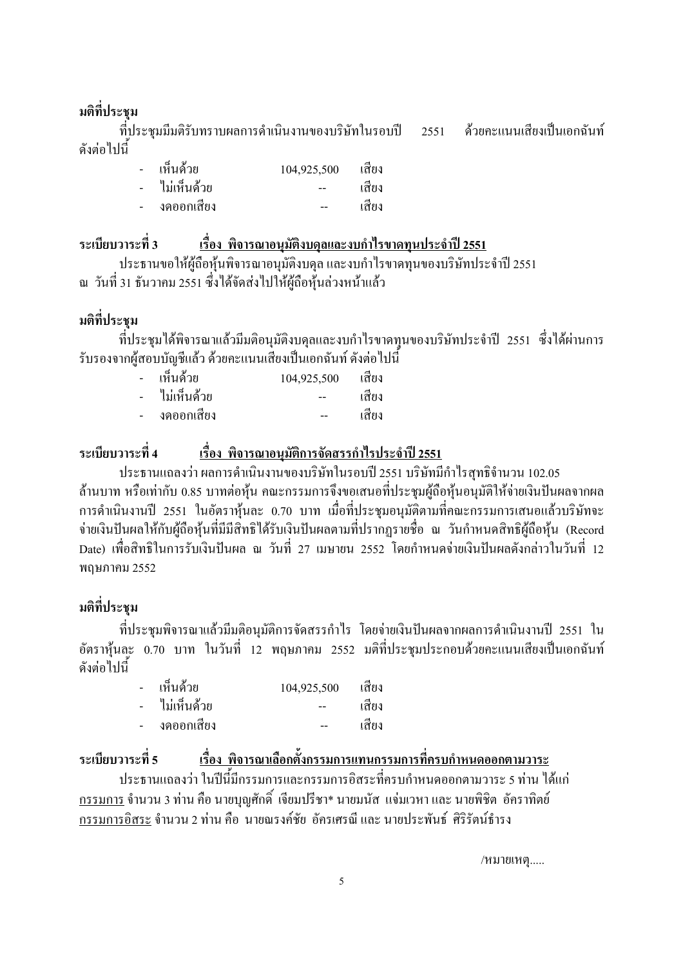## มติที่ประชุม

ที่ประชุมมีมติรับทราบผลการคำเนินงานของบริษัทในรอบปี 2551 ค้วยคะแนนเสียงเป็นเอกฉันท์ คังต่อไปนี้

| เห็นด้วย    | 104,925,500 | เสียง |
|-------------|-------------|-------|
| ไม่เห็นด้วย |             | เสียง |
| งดออกเสียง  | --          | เสียง |

# ระเบียบวาระที่ 3 เรื่อง พิจารณาอนุมัติงบดุลและงบกำไรขาดทุนประจำปี 2551

ประธานขอให้ผู้ถือหุ้นพิจารณาอนุมัติงบคุล และงบกำไรขาคทุนของบริษัทประจำปี 2551 ณ วันที่ 31 ธันวาคม 2551 ซึ่งได้จัดส่งไปให้ผู้ถือหุ้นล่วงหน้าแล้ว

## มติที่ประชุม

ที่ประชุมใด้พิจารณาแล้วมีมติอนุมัติงบคุลและงบกำไรขาคทุนของบริษัทประจำปี 2551 ซึ่งใด้ผ่านการ รับรองจากผู้สอบบัญชีแล้ว ด้วยคะแนนเสียงเป็นเอกฉันท์ ดังต่อไปนี้

| เห็นด้วย      | 104,925,500 | เสียง |
|---------------|-------------|-------|
| - ไม่เห็นด้วย |             | เสียง |
| งดออกเสียง    | --          | เสียง |

#### ระเบียบวาระที่ 4 <u>ระที่ 4 - เรื่อง พิจารณาอนุมัติการจัดสรรกำไรประจำปี 2551</u>

ประธานแถลงว่า ผลการคำเนินงานของบริษัทในรอบปี 2551 บริษัทมีกำไรสุทธิจำนวน 102.05 ล้านบาท หรือเท่ากับ 0.85 บาทต่อหุ้น คณะกรรมการจึงขอเสนอที่ประชุมผู้ถือหุ้นอนุมัติให้จ่ายเงินปันผลจากผล การคำเนินงานปี 2551 ในอัตราหุ้นละ 0.70 บาท เมื่อที่ประชุมอนุมัติตามที่คณะกรรมการเสนอแล้วบริษัทจะ จ่ายเงินปันผลให้กับผู้ถือหุ้นที่มีมีสิทธิใค้รับเงินปันผลตามที่ปรากฏรายชื่อ ณ วันกำหนดสิทธิผู้ถือหุ้น (Record Date) เพื่อสิทธิในการรับเงินปันผล ณ วันที่ 27 เมษายน 2552 โดยกำหนดจ่ายเงินปันผลดังกล่าวในวันที่ 12 พถนภาคม 2552

## มติที่ประชุม

ที่ประชุมพิจารณาแล้วมีมติอนุมัติการจัดสรรกำไร โดยจ่ายเงินปันผลจากผลการคำเนินงานปี 2551 ใน อัตราห้นละ 0.70 บาท ในวันที่ 12 พถษภาคม 2552 มติที่ประชมประกอบด้วยคะแนนเสียงเป็นเอกฉันท์ ดังต่อไปบี้

|        | - เห็นด้วย     | 104,925,500 | เสียง |
|--------|----------------|-------------|-------|
|        | -  ไม่เห็นด้วย |             | เสียง |
| $\sim$ | งคออกเสียง     |             | เสียง |

ระเบียบวาระที่ ร <u>ระที่ 5 เรื่อง พิจารณาเลือกตั้งกรรมการแทนกรรมการที่ครบกำหนดออกตามวาระ</u> ประธานแถลงว่า ในปีนี้มีกรรมการและกรรมการอิสระที่ครบกำหนดออกตามวาระ 5 ท่าน ได้แก่ ิ กรรมการ จำนวน 3 ท่าน คือ นายบณศักดิ์ เจียมปรีชา\* นายมนัส แจ่มเวหา และ นายพิชิต อัคราทิตย์ <u>กรรมการอิสระ</u> จำนวน 2 ท่าน คือ นายณรงค์ชัย อัครเศรณี และ นายประพันธ์ ศิริรัตน์ธำรง

/หมายเหตุ.....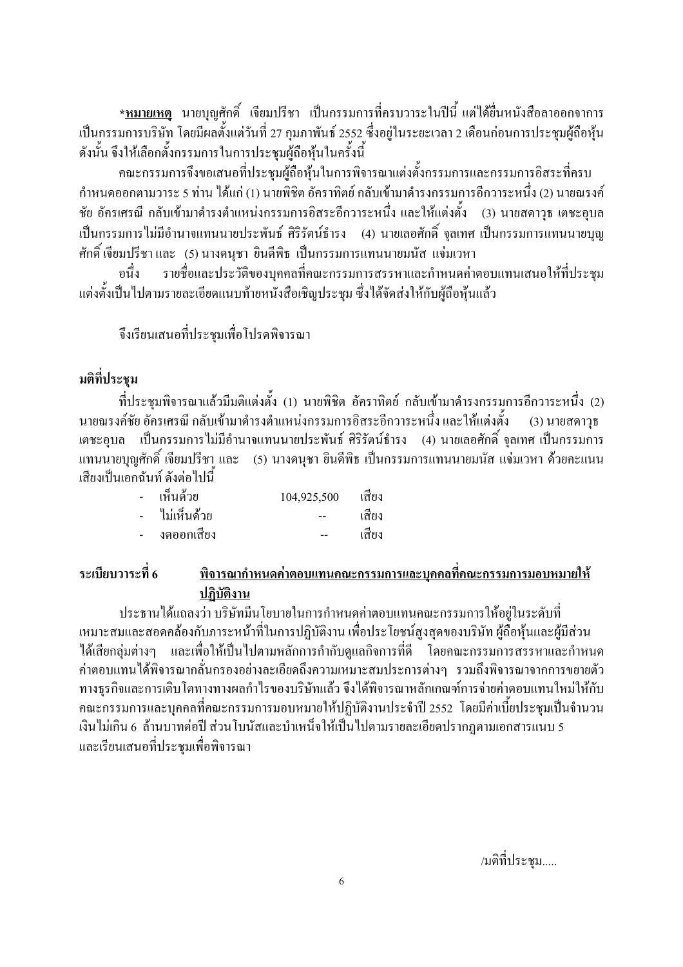<u>\*หมายเหต</u>ุ นายบุญศักดิ์ เจียมปรีชา เป็นกรรมการที่ครบวาระในปีนี้ แต่ได้ยื่นหนังสือลาออกจาการ เป็นกรรมการบริษัท โดยมีผลตั้งแต่วันที่ 27 กุมภาพันธ์ 2552 ซึ่งอยู่ในระยะเวลา 2 เดือนก่อนการประชุมผู้ถือหุ้น ้ดังนั้น จึงให้เลือกตั้งกรรมการในการประชุมผู้ถือหุ้นในครั้งนี้

ึคณะกรรมการจึงขอเสนอที่ประชมผู้ถือหุ้นในการพิจารณาแต่งตั้งกรรมการและกรรมการอิสระที่ครบ กำหนดออกตามวาระ 5 ท่าน ได้แก่ (1) นายพิชิต อัคราทิตย์ กลับเข้ามาดำรงกรรมการอีกวาระหนึ่ง (2) นายณรงค์ ชัย อัครเศรณี กลับเข้ามาดำรงตำแหน่งกรรมการอิสระอีกวาระหนึ่ง และให้แต่งตั้ง (3) นายสดาวุธ เตชะอุบล ้เป็นกรรมการไม่มีอำนาจแทนนายประพันธ์ ศิริรัตน์ธำรง (4) นายเลอศักดิ์ จลเทศ เป็นกรรมการแทนนายบณ ศักดิ์ เจียมปรีชา และ (5) นางคนฺชา ยินคีพิธ เป็นกรรมการแทนนายมนัส แจ่มเวหา

้ รายชื่อและประวัติของบคคลที่คณะกรรมการสรรหาและกำหนดค่าตอบแทนเสนอให้ที่ประชม ิกบึ้ง แต่งตั้งเป็นไปตามรายละเอียดแนบท้ายหนังสือเชิญประชุม ซึ่งได้จัดส่งให้กับผู้ถือหุ้นแล้ว

จึงเรียนเสนอที่ประชมเพื่อโปรคพิจารณา

## มติที่ประชุม

ที่ประชุมพิจารณาแล้วมีมติแต่งตั้ง (1) นายพิชิต อัคราทิตย์ กลับเข้ามาดำรงกรรมการอีกวาระหนึ่ง (2) ้นายณรงค์ชัย อัครเศรณี กลับเข้ามาดำรงตำแหน่งกรรมการอิสระอีกวาระหนึ่ง และให้แต่งตั้ง  $(3)$  นายสดาวธ ี เตชะอุบล เป็นกรรมการไม่มีอำนาจแทนนายประพันธ์ ศิริรัตน์ธำรง (4) นายเลอศักดิ์ จุลเทศ เป็นกรรมการ ี แทนนายบณศักดิ์ เจียมปรีชา และ (5) นางคนชา ยินดีพิธ เป็นกรรมการแทนนายมนัส แจ่มเวหา ด้วยคะแนน ้เสียงเป็นเอกจับท์ ดังต่อไปนี้

| เห็นด้วย      | 104,925,500 | เสียง |
|---------------|-------------|-------|
| - ไม่เห็นด้วย |             | เสียง |
| งดออกเสียง    |             | เสียง |

#### ระเบียบวาระที่ 6 พิจารณากำหนดค่าตอบแทนคณะกรรมการและบุคคลที่คณะกรรมการมอบหมายให้ ปภิบัติงาน

ประธานได้แถลงว่า บริษัทมีนโยบายในการกำหนดค่าตอบแทนคณะกรรมการให้อย่ในระดับที่ เหมาะสมและสอดคล้องกับภาระหน้าที่ในการปฏิบัติงาน เพื่อประโยชน์สูงสุดของบริษัท ผู้ถื้อหุ้นและผู้มีส่วน ใค้เสียกล่มต่างๆ และเพื่อให้เป็นไปตามหลักการกำกับคแลกิจการที่ดี โคยคณะกรรมการสรรหาและกำหนด ้ค่าตอบแทนได้พิจารณากลั่นกรองอย่างละเอียดถึงความเหมาะสมประการต่างๆ รวมถึงพิจารณาจากการขยายตัว ทางธุรกิจและการเติบโตทางทางผลกำไรของบริษัทแล้ว จึงได้พิจารณาหลักเกณฑ์การจ่ายค่าตอบแทนใหม่ให้กับ ี คณะกรรมการและบุคคลที่คณะกรรมการมอบหมายให้ปฏิบัติงานประจำปี 2552 โดยมีค่าเบี้ยประชุมเป็นจำนวน ้เงินไม่เกิน 6\_ถ้านบาทต่อปี ส่วนโบนัสและบำเหน็จให้เป็นไปตามรายละเอียดปรากฎตามเอกสารแนบ 5 และเรียนเสนอที่ประชุมเพื่อพิจารณา

/มติที่ประชม.....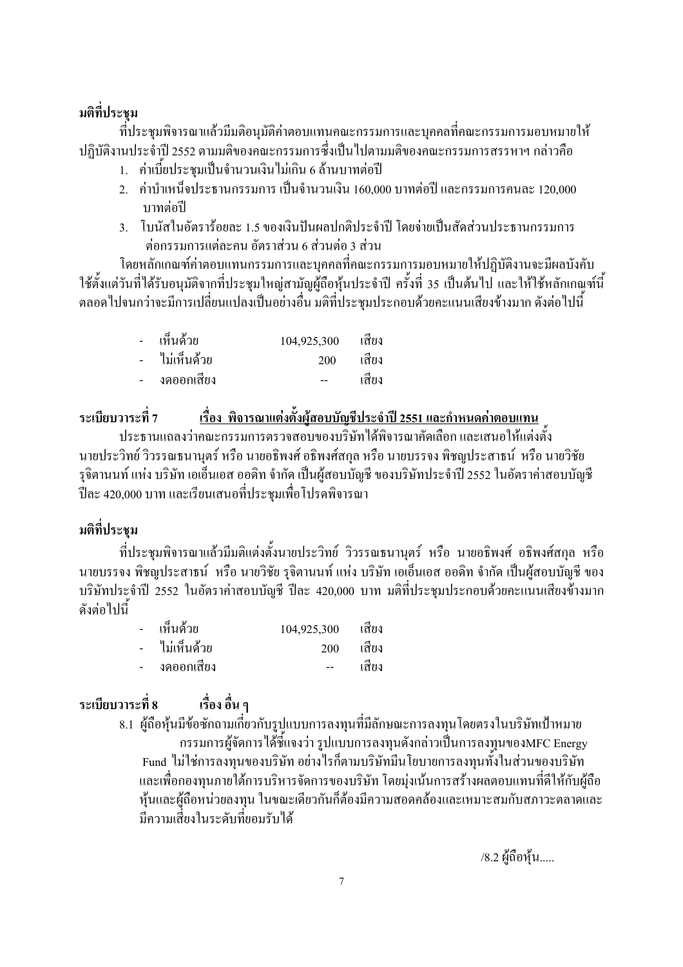## มติที่ประชม

ี่ ที่ประชุมพิจารณาแล้วมีมติอนุมัติค่าตอบแทนคณะกรรมการและบุคคลที่คณะกรรมการมอบหมายให้ ปฏิบัติงานประจำปี 2552 ตามมติของคณะกรรมการซึ่งเป็นไปตามมติของคณะกรรมการสรรหาฯ กล่าวคือ

- 1. ค่าเบี้ยประชุมเป็นจำนวนเงินไม่เกิน 6 ถ้านบาทต่อปี
- ่ 2. ค่าบำเหน็จประธานกรรมการ เป็นจำนวนเงิน 160.000 บาทต่อปี และกรรมการคนละ 120.000 บาทต่อปี
- 3. โบนัสในอัตราร้อยละ 1.5 ของเงินปันผลปกติประจำปี โดยจ่ายเป็นสัดส่วนประธานกรรมการ ต่อกรรมการแต่ละคน อัตราส่วน 6 ส่วนต่อ 3 ส่วน

โดยหลักเกณฑ์ค่าตอบแทนกรรมการและบุคคลที่คณะกรรมการมอบหมายให้ปฏิบัติงานจะมีผลบังคับ ใช้ตั้งแต่วันที่ได้รับอนุมัติจากที่ประชุมใหญ่สามัญผู้ถือหุ้นประจำปี ครั้งที่ 35 เป็นต้นไป และให้ใช้หลักเกณฑ์นี้ ิตลอดไปจนกว่าจะมีการเปลี่ยนแปลงเป็นอย่างอื่น มติที่ประชมประกอบด้วยคะแนนเสียงข้างมาก ดังต่อไปนี้

|        | - เห็นด้วย     | 104,925,300 | เสียง |
|--------|----------------|-------------|-------|
|        | -  ไม่เห็นด้วย | 200         | เสียง |
| $\sim$ | งดออกเสียง     | $- -$       | เสียง |

<u>เรื่อง พิจารณาแต่งตั้งผู้สอบบัญชีประจำปี 2551 และกำหนดค่าตอบแทน</u> ระเบียบวาระที่ 7 ประธานแถลงว่าคณะกรรมการตรวจสอบของบริษัทได้พิจารณาคัดเลือก และเสนอให้แต่งตั้ง ้นายประวิทย์ วิวรรณธนานุตร์ หรือ นายอธิพงศ์ อธิพงศ์สกุล หรือ นายบรรจง พิชญประสาธน์ หรือ นายวิชัย รุจิตานนท์ แห่ง บริษัท เอเอ็นเอส ออดิท จำกัด เป็นผู้สอบบัญชี ของบริษัทประจำปี 2552 ในอัตราค่าสอบบัญชี ปีละ 420,000 บาท และเรียนเสนอที่ประชุมเพื่อโปรคพิจารณา

## มติที่ประชุม

ที่ประชุมพิจารณาแล้วมีมติแต่งตั้งนายประวิทย์ วิวรรณธนานุตร์ หรือ นายอธิพงศ์ อธิพงศ์สกุล หรือ นายบรรจง พิชญประสาธน์ หรือ นายวิชัย รุจิตานนท์ แห่ง บริษัท เอเอ็นเอส ออคิท จำกัด เป็นผู้สอบบัญชี ของ ึบริษัทประจำปี 2552 ในอัตราค่าสอบบัญชี ปีละ 420,000 บาท มติที่ประชุมประกอบด้วยคะแนนเสียงข้างมาก ดังต่อไปนี้

|        | - เห็นด้วย    | 104,925,300 | เสียง |
|--------|---------------|-------------|-------|
|        | - ไม่เห็นด้วย | 200         | เสียง |
| $\sim$ | งคออกเสียง    |             | เสียง |

#### ระเบียบวาระที่ 8 ้เรื่อง อื่น ๆ

่ 8.1 ผู้ถือหุ้นมีข้อซักถามเกี่ยวกับรูปแบบการลงทุนที่มีลักษณะการลงทุนโดยตรงในบริษัทเป้าหมาย ้กรรมการผู้จัดการใด้ชี้แจงว่า รูปแบบการลงทุนดังกล่าวเป็นการลงทุนของMFC Energy Fund ใม่ใช่การลงทุนของบริษัท อย่างไรก็ตามบริษัทมีนโยบายการลงทุนทั้งในส่วนของบริษัท และเพื่อกองทุนภายใต้การบริหารจัดการของบริษัท โดยมุ่งเน้นการสร้างผลตอบแทนที่ดีให้กับผู้ถือ หุ้นและผู้ถือหน่วยลงทุน ในขณะเดียวกันก็ต้องมีความสอดกล้องและเหมาะสมกับสภาวะตลาดและ มีความเสี่ยงใบระดับที่ยอมรับได้

/8.2 ผู้ถือหุ้น.....